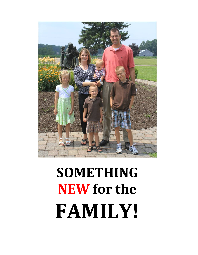

# **SOMETHING NEW for the FAMILY!**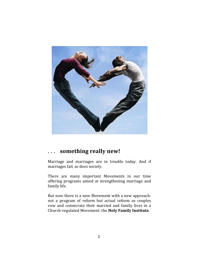

## **... something really new!**

Marriage and marriages are in trouble today. And if marriages fail, so does society.

There are many important Movements in our time offering programs aimed at strengthening marriage and family life.

But now there is a new Movement with a new approach: not a program of reform but actual reform as couples vow and consecrate their married and family lives in a Church‐regulated Movement: the **Holy Family Institute**.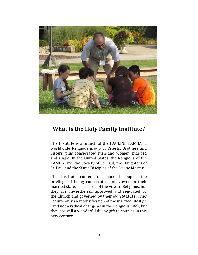

# **What is the Holy Family Institute?**

The Institute is a branch of the PAULINE FAMILY, a worldwide Religious group of Priests, Brothers and Sisters, plus consecrated men and women, married and single. In the United States, the Religious of the FAMILY are: the Society of St. Paul, the Daughters of St. Paul and the Sister Disciples of the Divine Master.

The Institute confers on married couples the privilege of being consecrated and vowed in their married state. These are not the vow of Religious, but they are, nevertheless, approved and regulated by the Church and governed by their own Statute. They require only an intensification of the married lifestyle (and not a radical change as in the Religious Life), but they are still a wonderful divine gift to couples in this new century.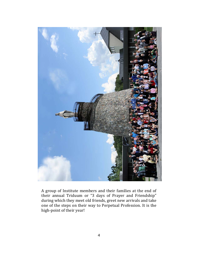

A group of Institute members and their families at the end of their annual Triduum or "3 days of Prayer and Friendship" during which they meet old friends, greet new arrivals and take one of the steps on their way to Perpetual Profession. It is the high-point of their year!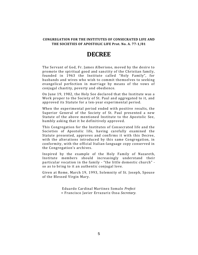#### **CONGREGATION FOR THE INSTITUTES OF CONSECRATED LIFE AND THE SOCIETIES OF APOSTOLIC LIFE Prot. No. A. 77‐1/81**

# **DECREE**

The Servant of God, Fr. James Alberione, moved by the desire to promote the spiritual good and sanctity of the Christian family, founded in 1963 the Institute called "Holy Family", for husbands and wives who wish to commit themselves to seeking evangelical perfection in marriage by means of the yows of conjugal chastity, poverty and obedience.

On June 19, 1982, the Holy See declared that the Institute was a Work proper to the Society of St. Paul and aggregated to it, and approved its Statute for a ten-year experimental period.

When the experimental period ended with positive results, the Superior General of the Society of St. Paul presented a new Statute of the above mentioned Institute to the Apostolic See, humbly asking that it be definitively approved.

This Congregation for the Institutes of Consecrated life and the Societies of Apostolic life, having carefully examined the Statute presented, approves and confirms it with this Decree, with the alterations introduced by this same Congregation, in conformity, with the official Italian-language copy conserved in the Congregation's archives.

Inspired by the example of the Holy Family of Nazareth, Institute members should increasingly understand their particular vocation in the family - "the little domestic church" so as to bring to it an authentic conjugal love.

Given at Rome, March 19, 1993, Solemnity of St. Joseph, Spouse of the Blessed Virgin Mary.

> Eduardo Cardinal Martinez Somalo *Prefect* + Francisco Javier Errazuriz Ossa *Secretary.*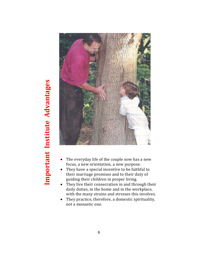



- The everyday life of the couple now has a new focus, a new orientation, a new purpose.
- They have a special incentive to be faithful to their marriage promises and to their duty of guiding their children in proper living.
- They live their consecration in and through their daily duties, in the home and in the workplace, with the many strains and stresses this involves.
- They practice, therefore, a domestic spirituality, not a monastic one.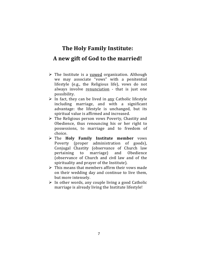# **The Holy Family Institute: A new gift of God to the married!**

- $\triangleright$  The Institute is a vowed organization. Although we may associate "vows" with a penitential lifestyle (e.g., the Religious life), vows do not always involve renunciation - that is just one possibility.
- $\triangleright$  In fact, they can be lived in <u>any</u> Catholic lifestyle including marriage, and with a significant advantage: the lifestyle is unchanged, but its spiritual value is affirmed and increased.
- $\triangleright$  The Religious person vows Poverty, Chastity and Obedience, thus renouncing his or her right to possessions, to marriage and to freedom of choice.
- The **Holy Family Institute member** vows Poverty (proper administration of goods), Conjugal Chastity (observance of Church law pertaining to marriage) and Obedience (observance of Church and civil law and of the spirituality and prayer of the Institute).
- $\triangleright$  This means that members affirm their vows made on their wedding day and continue to live them, but more intensely.
- $\triangleright$  In other words, any couple living a good Catholic marriage is already living the Institute lifestyle!